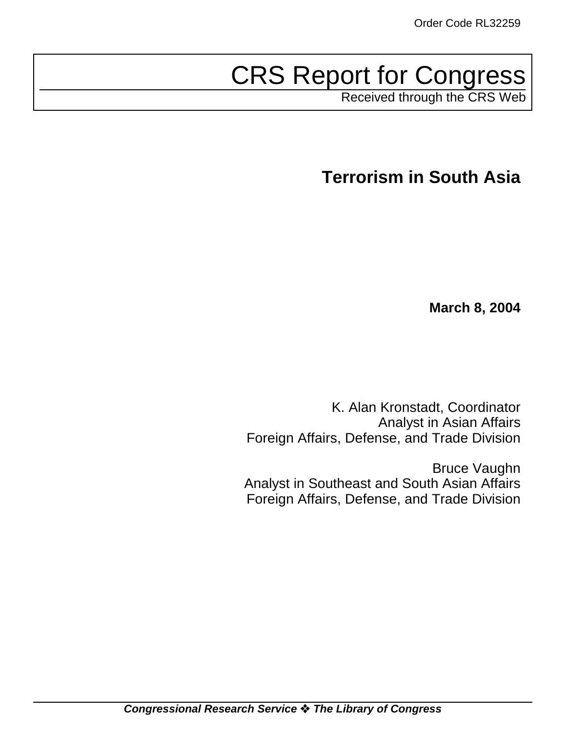# CRS Report for Congress

Received through the CRS Web

**Terrorism in South Asia**

**March 8, 2004**

K. Alan Kronstadt, Coordinator Analyst in Asian Affairs Foreign Affairs, Defense, and Trade Division

Bruce Vaughn Analyst in Southeast and South Asian Affairs Foreign Affairs, Defense, and Trade Division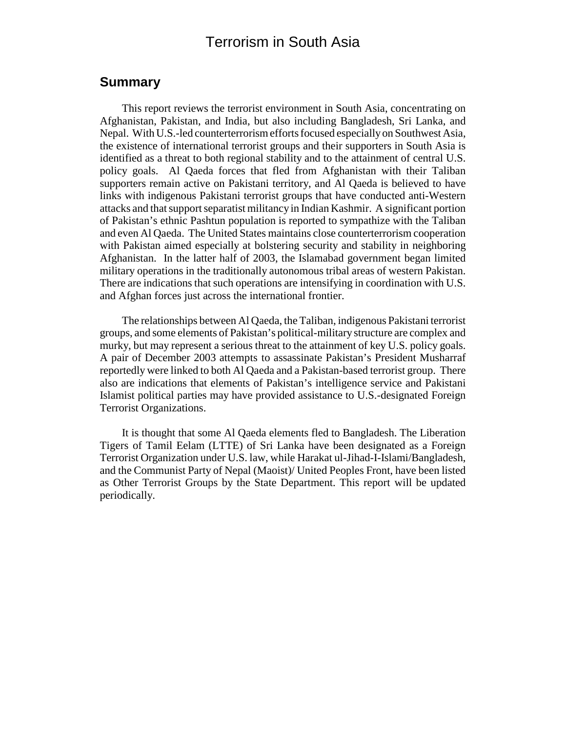# Terrorism in South Asia

#### **Summary**

This report reviews the terrorist environment in South Asia, concentrating on Afghanistan, Pakistan, and India, but also including Bangladesh, Sri Lanka, and Nepal. With U.S.-led counterterrorism efforts focused especially on Southwest Asia, the existence of international terrorist groups and their supporters in South Asia is identified as a threat to both regional stability and to the attainment of central U.S. policy goals. Al Qaeda forces that fled from Afghanistan with their Taliban supporters remain active on Pakistani territory, and Al Qaeda is believed to have links with indigenous Pakistani terrorist groups that have conducted anti-Western attacks and that support separatist militancy in Indian Kashmir. A significant portion of Pakistan's ethnic Pashtun population is reported to sympathize with the Taliban and even Al Qaeda. The United States maintains close counterterrorism cooperation with Pakistan aimed especially at bolstering security and stability in neighboring Afghanistan. In the latter half of 2003, the Islamabad government began limited military operations in the traditionally autonomous tribal areas of western Pakistan. There are indications that such operations are intensifying in coordination with U.S. and Afghan forces just across the international frontier.

The relationships between Al Qaeda, the Taliban, indigenous Pakistani terrorist groups, and some elements of Pakistan's political-military structure are complex and murky, but may represent a serious threat to the attainment of key U.S. policy goals. A pair of December 2003 attempts to assassinate Pakistan's President Musharraf reportedly were linked to both Al Qaeda and a Pakistan-based terrorist group. There also are indications that elements of Pakistan's intelligence service and Pakistani Islamist political parties may have provided assistance to U.S.-designated Foreign Terrorist Organizations.

It is thought that some Al Qaeda elements fled to Bangladesh. The Liberation Tigers of Tamil Eelam (LTTE) of Sri Lanka have been designated as a Foreign Terrorist Organization under U.S. law, while Harakat ul-Jihad-I-Islami/Bangladesh, and the Communist Party of Nepal (Maoist)/ United Peoples Front, have been listed as Other Terrorist Groups by the State Department. This report will be updated periodically.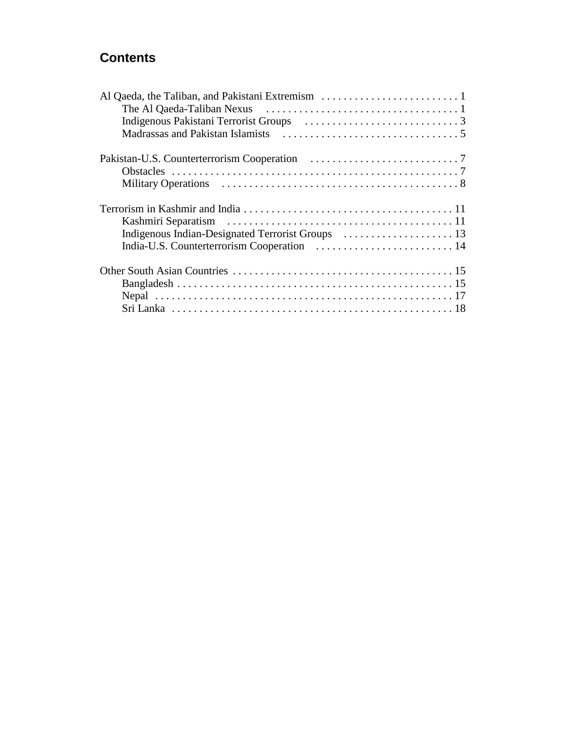# **Contents**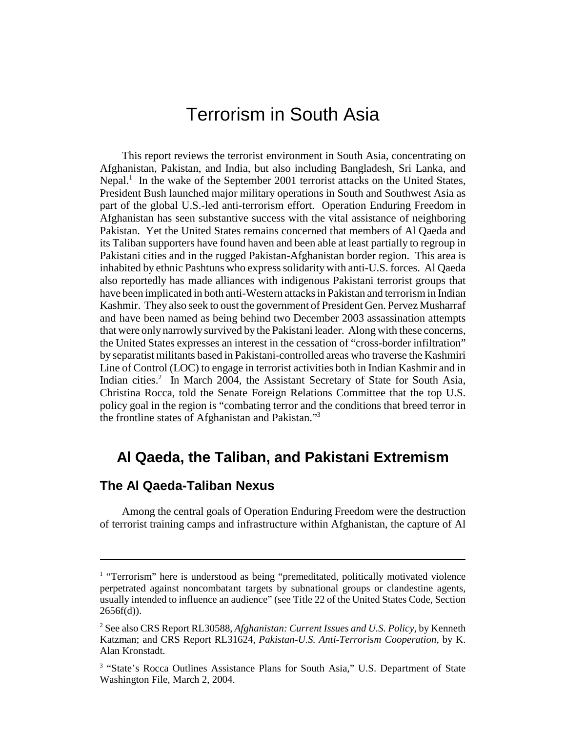# Terrorism in South Asia

This report reviews the terrorist environment in South Asia, concentrating on Afghanistan, Pakistan, and India, but also including Bangladesh, Sri Lanka, and Nepal.<sup>1</sup> In the wake of the September 2001 terrorist attacks on the United States, President Bush launched major military operations in South and Southwest Asia as part of the global U.S.-led anti-terrorism effort. Operation Enduring Freedom in Afghanistan has seen substantive success with the vital assistance of neighboring Pakistan. Yet the United States remains concerned that members of Al Qaeda and its Taliban supporters have found haven and been able at least partially to regroup in Pakistani cities and in the rugged Pakistan-Afghanistan border region. This area is inhabited by ethnic Pashtuns who express solidarity with anti-U.S. forces. Al Qaeda also reportedly has made alliances with indigenous Pakistani terrorist groups that have been implicated in both anti-Western attacks in Pakistan and terrorism in Indian Kashmir. They also seek to oust the government of President Gen. Pervez Musharraf and have been named as being behind two December 2003 assassination attempts that were only narrowly survived by the Pakistani leader. Along with these concerns, the United States expresses an interest in the cessation of "cross-border infiltration" by separatist militants based in Pakistani-controlled areas who traverse the Kashmiri Line of Control (LOC) to engage in terrorist activities both in Indian Kashmir and in Indian cities.<sup>2</sup> In March 2004, the Assistant Secretary of State for South Asia, Christina Rocca, told the Senate Foreign Relations Committee that the top U.S. policy goal in the region is "combating terror and the conditions that breed terror in the frontline states of Afghanistan and Pakistan."3

# **Al Qaeda, the Taliban, and Pakistani Extremism**

#### **The Al Qaeda-Taliban Nexus**

Among the central goals of Operation Enduring Freedom were the destruction of terrorist training camps and infrastructure within Afghanistan, the capture of Al

<sup>&</sup>lt;sup>1</sup> "Terrorism" here is understood as being "premeditated, politically motivated violence perpetrated against noncombatant targets by subnational groups or clandestine agents, usually intended to influence an audience" (see Title 22 of the United States Code, Section  $2656f(d)$ ).

<sup>2</sup> See also CRS Report RL30588, *Afghanistan: Current Issues and U.S. Policy*, by Kenneth Katzman; and CRS Report RL31624, *Pakistan-U.S. Anti-Terrorism Cooperation*, by K. Alan Kronstadt.

<sup>&</sup>lt;sup>3</sup> "State's Rocca Outlines Assistance Plans for South Asia," U.S. Department of State Washington File, March 2, 2004.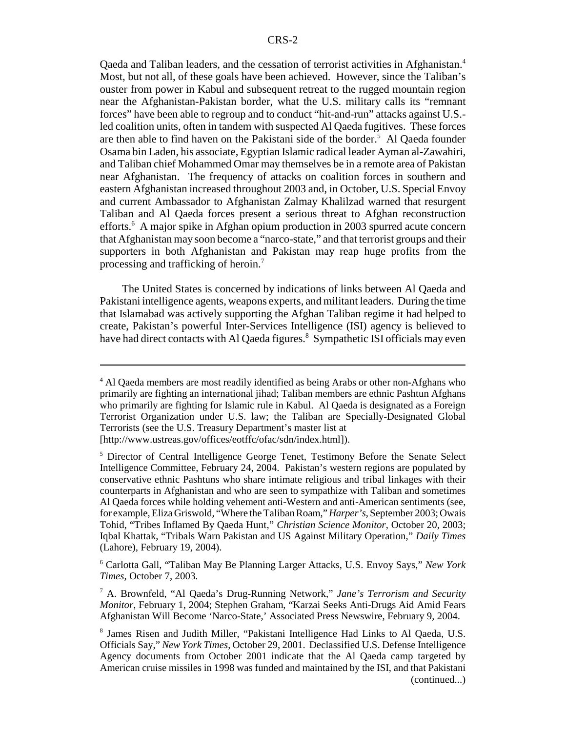Qaeda and Taliban leaders, and the cessation of terrorist activities in Afghanistan.<sup>4</sup> Most, but not all, of these goals have been achieved. However, since the Taliban's ouster from power in Kabul and subsequent retreat to the rugged mountain region near the Afghanistan-Pakistan border, what the U.S. military calls its "remnant forces" have been able to regroup and to conduct "hit-and-run" attacks against U.S. led coalition units, often in tandem with suspected Al Qaeda fugitives. These forces are then able to find haven on the Pakistani side of the border.<sup>5</sup> Al Qaeda founder Osama bin Laden, his associate, Egyptian Islamic radical leader Ayman al-Zawahiri, and Taliban chief Mohammed Omar may themselves be in a remote area of Pakistan near Afghanistan. The frequency of attacks on coalition forces in southern and eastern Afghanistan increased throughout 2003 and, in October, U.S. Special Envoy and current Ambassador to Afghanistan Zalmay Khalilzad warned that resurgent Taliban and Al Qaeda forces present a serious threat to Afghan reconstruction efforts.<sup>6</sup> A major spike in Afghan opium production in 2003 spurred acute concern that Afghanistan may soon become a "narco-state," and that terrorist groups and their supporters in both Afghanistan and Pakistan may reap huge profits from the processing and trafficking of heroin.<sup>7</sup>

The United States is concerned by indications of links between Al Qaeda and Pakistani intelligence agents, weapons experts, and militant leaders. During the time that Islamabad was actively supporting the Afghan Taliban regime it had helped to create, Pakistan's powerful Inter-Services Intelligence (ISI) agency is believed to have had direct contacts with Al Qaeda figures.<sup>8</sup> Sympathetic ISI officials may even

6 Carlotta Gall, "Taliban May Be Planning Larger Attacks, U.S. Envoy Says," *New York Times*, October 7, 2003.

7 A. Brownfeld, "Al Qaeda's Drug-Running Network," *Jane's Terrorism and Security Monitor*, February 1, 2004; Stephen Graham, "Karzai Seeks Anti-Drugs Aid Amid Fears Afghanistan Will Become 'Narco-State,' Associated Press Newswire, February 9, 2004.

<sup>&</sup>lt;sup>4</sup> Al Qaeda members are most readily identified as being Arabs or other non-Afghans who primarily are fighting an international jihad; Taliban members are ethnic Pashtun Afghans who primarily are fighting for Islamic rule in Kabul. Al Qaeda is designated as a Foreign Terrorist Organization under U.S. law; the Taliban are Specially-Designated Global Terrorists (see the U.S. Treasury Department's master list at [http://www.ustreas.gov/offices/eotffc/ofac/sdn/index.html]).

<sup>&</sup>lt;sup>5</sup> Director of Central Intelligence George Tenet, Testimony Before the Senate Select Intelligence Committee, February 24, 2004. Pakistan's western regions are populated by conservative ethnic Pashtuns who share intimate religious and tribal linkages with their counterparts in Afghanistan and who are seen to sympathize with Taliban and sometimes Al Qaeda forces while holding vehement anti-Western and anti-American sentiments (see, for example, Eliza Griswold, "Where the Taliban Roam," *Harper's*, September 2003; Owais Tohid, "Tribes Inflamed By Qaeda Hunt," *Christian Science Monitor*, October 20, 2003; Iqbal Khattak, "Tribals Warn Pakistan and US Against Military Operation," *Daily Times* (Lahore), February 19, 2004).

<sup>8</sup> James Risen and Judith Miller, "Pakistani Intelligence Had Links to Al Qaeda, U.S. Officials Say," *New York Times*, October 29, 2001. Declassified U.S. Defense Intelligence Agency documents from October 2001 indicate that the Al Qaeda camp targeted by American cruise missiles in 1998 was funded and maintained by the ISI, and that Pakistani (continued...)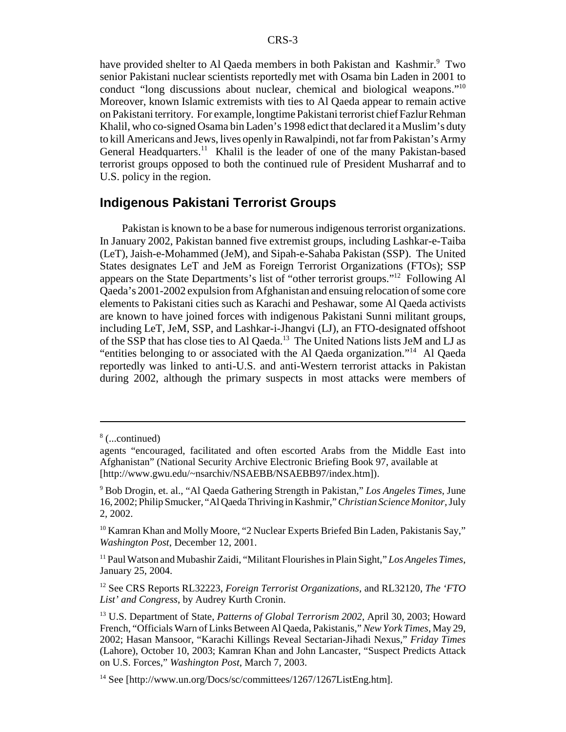have provided shelter to Al Qaeda members in both Pakistan and Kashmir.<sup>9</sup> Two senior Pakistani nuclear scientists reportedly met with Osama bin Laden in 2001 to conduct "long discussions about nuclear, chemical and biological weapons."10 Moreover, known Islamic extremists with ties to Al Qaeda appear to remain active on Pakistani territory. For example, longtime Pakistani terrorist chief Fazlur Rehman Khalil, who co-signed Osama bin Laden's 1998 edict that declared it a Muslim's duty to kill Americans and Jews, lives openly in Rawalpindi, not far from Pakistan's Army General Headquarters.<sup>11</sup> Khalil is the leader of one of the many Pakistan-based terrorist groups opposed to both the continued rule of President Musharraf and to U.S. policy in the region.

#### **Indigenous Pakistani Terrorist Groups**

Pakistan is known to be a base for numerous indigenous terrorist organizations. In January 2002, Pakistan banned five extremist groups, including Lashkar-e-Taiba (LeT), Jaish-e-Mohammed (JeM), and Sipah-e-Sahaba Pakistan (SSP). The United States designates LeT and JeM as Foreign Terrorist Organizations (FTOs); SSP appears on the State Departments's list of "other terrorist groups."12 Following Al Qaeda's 2001-2002 expulsion from Afghanistan and ensuing relocation of some core elements to Pakistani cities such as Karachi and Peshawar, some Al Qaeda activists are known to have joined forces with indigenous Pakistani Sunni militant groups, including LeT, JeM, SSP, and Lashkar-i-Jhangvi (LJ), an FTO-designated offshoot of the SSP that has close ties to Al Qaeda.13 The United Nations lists JeM and LJ as "entities belonging to or associated with the Al Qaeda organization."14 Al Qaeda reportedly was linked to anti-U.S. and anti-Western terrorist attacks in Pakistan during 2002, although the primary suspects in most attacks were members of

<sup>8</sup> (...continued)

agents "encouraged, facilitated and often escorted Arabs from the Middle East into Afghanistan" (National Security Archive Electronic Briefing Book 97, available at [http://www.gwu.edu/~nsarchiv/NSAEBB/NSAEBB97/index.htm]).

<sup>9</sup> Bob Drogin, et. al., "Al Qaeda Gathering Strength in Pakistan," *Los Angeles Times*, June 16, 2002; Philip Smucker, "Al Qaeda Thriving in Kashmir," *Christian Science Monitor*, July 2, 2002.

<sup>&</sup>lt;sup>10</sup> Kamran Khan and Molly Moore, "2 Nuclear Experts Briefed Bin Laden, Pakistanis Say," *Washington Post*, December 12, 2001.

<sup>11</sup> Paul Watson and Mubashir Zaidi, "Militant Flourishes in Plain Sight," *Los Angeles Times*, January 25, 2004.

<sup>12</sup> See CRS Reports RL32223, *Foreign Terrorist Organizations*, and RL32120, *The 'FTO List' and Congress*, by Audrey Kurth Cronin.

<sup>13</sup> U.S. Department of State, *Patterns of Global Terrorism 2002*, April 30, 2003; Howard French, "Officials Warn of Links Between Al Qaeda, Pakistanis," *New York Times*, May 29, 2002; Hasan Mansoor, "Karachi Killings Reveal Sectarian-Jihadi Nexus," *Friday Times* (Lahore), October 10, 2003; Kamran Khan and John Lancaster, "Suspect Predicts Attack on U.S. Forces," *Washington Post*, March 7, 2003.

 $14$  See [http://www.un.org/Docs/sc/committees/1267/1267ListEng.htm].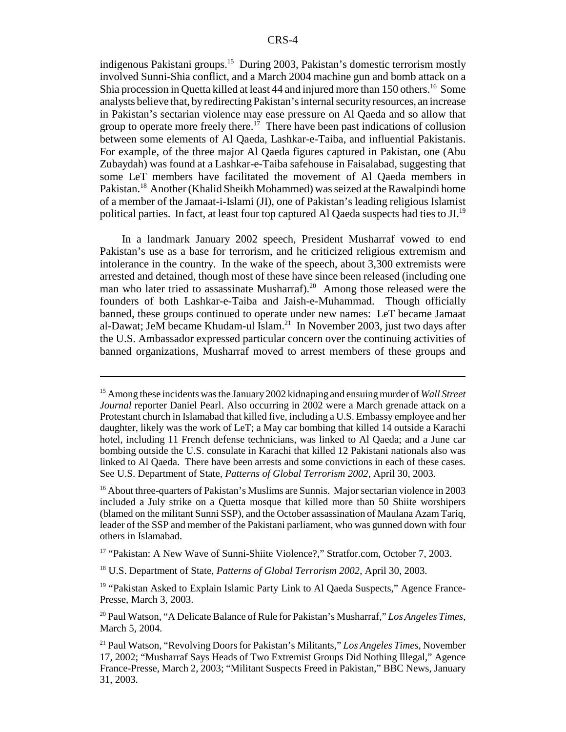indigenous Pakistani groups.<sup>15</sup> During 2003, Pakistan's domestic terrorism mostly involved Sunni-Shia conflict, and a March 2004 machine gun and bomb attack on a Shia procession in Quetta killed at least 44 and injured more than 150 others.<sup>16</sup> Some analysts believe that, by redirecting Pakistan's internal security resources, an increase in Pakistan's sectarian violence may ease pressure on Al Qaeda and so allow that group to operate more freely there.<sup>17</sup> There have been past indications of collusion between some elements of Al Qaeda, Lashkar-e-Taiba, and influential Pakistanis. For example, of the three major Al Qaeda figures captured in Pakistan, one (Abu Zubaydah) was found at a Lashkar-e-Taiba safehouse in Faisalabad, suggesting that some LeT members have facilitated the movement of Al Qaeda members in Pakistan.<sup>18</sup> Another (Khalid Sheikh Mohammed) was seized at the Rawalpindi home of a member of the Jamaat-i-Islami (JI), one of Pakistan's leading religious Islamist political parties. In fact, at least four top captured Al Qaeda suspects had ties to JI.<sup>19</sup>

In a landmark January 2002 speech, President Musharraf vowed to end Pakistan's use as a base for terrorism, and he criticized religious extremism and intolerance in the country. In the wake of the speech, about 3,300 extremists were arrested and detained, though most of these have since been released (including one man who later tried to assassinate Musharraf).<sup>20</sup> Among those released were the founders of both Lashkar-e-Taiba and Jaish-e-Muhammad. Though officially banned, these groups continued to operate under new names: LeT became Jamaat al-Dawat; JeM became Khudam-ul Islam.<sup>21</sup> In November 2003, just two days after the U.S. Ambassador expressed particular concern over the continuing activities of banned organizations, Musharraf moved to arrest members of these groups and

<sup>15</sup> Among these incidents was the January 2002 kidnaping and ensuing murder of *Wall Street Journal* reporter Daniel Pearl. Also occurring in 2002 were a March grenade attack on a Protestant church in Islamabad that killed five, including a U.S. Embassy employee and her daughter, likely was the work of LeT; a May car bombing that killed 14 outside a Karachi hotel, including 11 French defense technicians, was linked to Al Qaeda; and a June car bombing outside the U.S. consulate in Karachi that killed 12 Pakistani nationals also was linked to Al Qaeda. There have been arrests and some convictions in each of these cases. See U.S. Department of State, *Patterns of Global Terrorism 2002*, April 30, 2003.

<sup>&</sup>lt;sup>16</sup> About three-quarters of Pakistan's Muslims are Sunnis. Major sectarian violence in 2003 included a July strike on a Quetta mosque that killed more than 50 Shiite worshipers (blamed on the militant Sunni SSP), and the October assassination of Maulana Azam Tariq, leader of the SSP and member of the Pakistani parliament, who was gunned down with four others in Islamabad.

<sup>&</sup>lt;sup>17</sup> "Pakistan: A New Wave of Sunni-Shiite Violence?," Stratfor.com, October 7, 2003.

<sup>18</sup> U.S. Department of State, *Patterns of Global Terrorism 2002*, April 30, 2003.

<sup>&</sup>lt;sup>19</sup> "Pakistan Asked to Explain Islamic Party Link to Al Qaeda Suspects," Agence France-Presse, March 3, 2003.

<sup>20</sup> Paul Watson, "A Delicate Balance of Rule for Pakistan's Musharraf," *Los Angeles Times*, March 5, 2004.

<sup>21</sup> Paul Watson, "Revolving Doors for Pakistan's Militants," *Los Angeles Times*, November 17, 2002; "Musharraf Says Heads of Two Extremist Groups Did Nothing Illegal," Agence France-Presse, March 2, 2003; "Militant Suspects Freed in Pakistan," BBC News, January 31, 2003.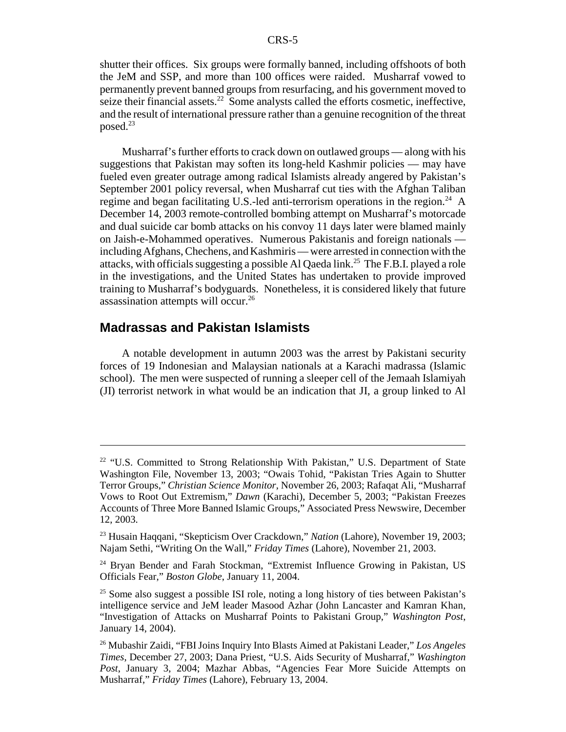shutter their offices. Six groups were formally banned, including offshoots of both the JeM and SSP, and more than 100 offices were raided. Musharraf vowed to permanently prevent banned groups from resurfacing, and his government moved to seize their financial assets. $22$  Some analysts called the efforts cosmetic, ineffective, and the result of international pressure rather than a genuine recognition of the threat posed.<sup>23</sup>

Musharraf's further efforts to crack down on outlawed groups — along with his suggestions that Pakistan may soften its long-held Kashmir policies — may have fueled even greater outrage among radical Islamists already angered by Pakistan's September 2001 policy reversal, when Musharraf cut ties with the Afghan Taliban regime and began facilitating U.S.-led anti-terrorism operations in the region.<sup>24</sup> A December 14, 2003 remote-controlled bombing attempt on Musharraf's motorcade and dual suicide car bomb attacks on his convoy 11 days later were blamed mainly on Jaish-e-Mohammed operatives. Numerous Pakistanis and foreign nationals including Afghans, Chechens, and Kashmiris — were arrested in connection with the attacks, with officials suggesting a possible Al Qaeda link.25 The F.B.I. played a role in the investigations, and the United States has undertaken to provide improved training to Musharraf's bodyguards. Nonetheless, it is considered likely that future assassination attempts will occur.<sup>26</sup>

#### **Madrassas and Pakistan Islamists**

A notable development in autumn 2003 was the arrest by Pakistani security forces of 19 Indonesian and Malaysian nationals at a Karachi madrassa (Islamic school). The men were suspected of running a sleeper cell of the Jemaah Islamiyah (JI) terrorist network in what would be an indication that JI, a group linked to Al

<sup>&</sup>lt;sup>22</sup> "U.S. Committed to Strong Relationship With Pakistan," U.S. Department of State Washington File, November 13, 2003; "Owais Tohid, "Pakistan Tries Again to Shutter Terror Groups," *Christian Science Monitor*, November 26, 2003; Rafaqat Ali, "Musharraf Vows to Root Out Extremism," *Dawn* (Karachi), December 5, 2003; "Pakistan Freezes Accounts of Three More Banned Islamic Groups," Associated Press Newswire, December 12, 2003.

<sup>23</sup> Husain Haqqani, "Skepticism Over Crackdown," *Nation* (Lahore), November 19, 2003; Najam Sethi, "Writing On the Wall," *Friday Times* (Lahore), November 21, 2003.

<sup>&</sup>lt;sup>24</sup> Bryan Bender and Farah Stockman, "Extremist Influence Growing in Pakistan, US Officials Fear," *Boston Globe*, January 11, 2004.

<sup>&</sup>lt;sup>25</sup> Some also suggest a possible ISI role, noting a long history of ties between Pakistan's intelligence service and JeM leader Masood Azhar (John Lancaster and Kamran Khan, "Investigation of Attacks on Musharraf Points to Pakistani Group," *Washington Post*, January 14, 2004).

<sup>26</sup> Mubashir Zaidi, "FBI Joins Inquiry Into Blasts Aimed at Pakistani Leader," *Los Angeles Times*, December 27, 2003; Dana Priest, "U.S. Aids Security of Musharraf," *Washington Post*, January 3, 2004; Mazhar Abbas, "Agencies Fear More Suicide Attempts on Musharraf," *Friday Times* (Lahore), February 13, 2004.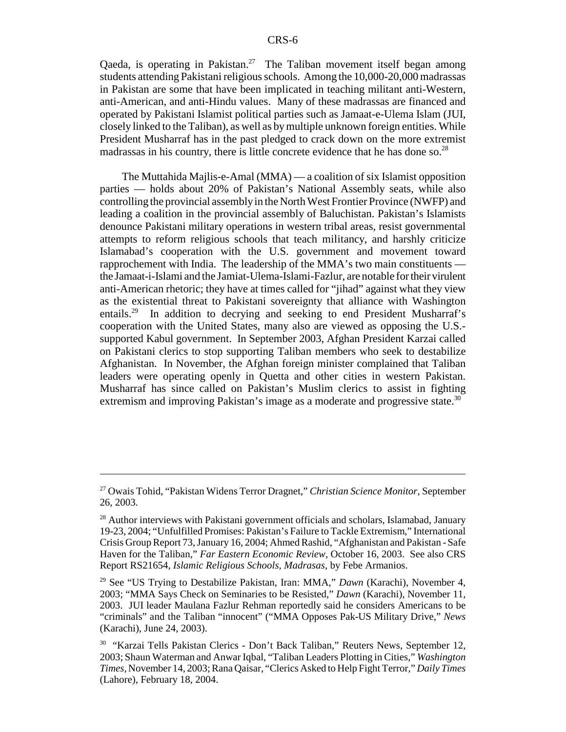Qaeda, is operating in Pakistan.<sup>27</sup> The Taliban movement itself began among students attending Pakistani religious schools. Among the 10,000-20,000 madrassas in Pakistan are some that have been implicated in teaching militant anti-Western, anti-American, and anti-Hindu values. Many of these madrassas are financed and operated by Pakistani Islamist political parties such as Jamaat-e-Ulema Islam (JUI, closely linked to the Taliban), as well as by multiple unknown foreign entities. While President Musharraf has in the past pledged to crack down on the more extremist madrassas in his country, there is little concrete evidence that he has done so.<sup>28</sup>

The Muttahida Majlis-e-Amal (MMA) — a coalition of six Islamist opposition parties — holds about 20% of Pakistan's National Assembly seats, while also controlling the provincial assembly in the North West Frontier Province (NWFP) and leading a coalition in the provincial assembly of Baluchistan. Pakistan's Islamists denounce Pakistani military operations in western tribal areas, resist governmental attempts to reform religious schools that teach militancy, and harshly criticize Islamabad's cooperation with the U.S. government and movement toward rapprochement with India. The leadership of the MMA's two main constituents the Jamaat-i-Islami and the Jamiat-Ulema-Islami-Fazlur, are notable for their virulent anti-American rhetoric; they have at times called for "jihad" against what they view as the existential threat to Pakistani sovereignty that alliance with Washington entails.<sup>29</sup> In addition to decrying and seeking to end President Musharraf's cooperation with the United States, many also are viewed as opposing the U.S. supported Kabul government. In September 2003, Afghan President Karzai called on Pakistani clerics to stop supporting Taliban members who seek to destabilize Afghanistan. In November, the Afghan foreign minister complained that Taliban leaders were operating openly in Quetta and other cities in western Pakistan. Musharraf has since called on Pakistan's Muslim clerics to assist in fighting extremism and improving Pakistan's image as a moderate and progressive state.<sup>30</sup>

<sup>27</sup> Owais Tohid, "Pakistan Widens Terror Dragnet," *Christian Science Monitor*, September 26, 2003.

 $^{28}$  Author interviews with Pakistani government officials and scholars, Islamabad, January 19-23, 2004; "Unfulfilled Promises: Pakistan's Failure to Tackle Extremism," International Crisis Group Report 73, January 16, 2004; Ahmed Rashid, "Afghanistan and Pakistan - Safe Haven for the Taliban," *Far Eastern Economic Review*, October 16, 2003. See also CRS Report RS21654, *Islamic Religious Schools, Madrasas*, by Febe Armanios.

<sup>29</sup> See "US Trying to Destabilize Pakistan, Iran: MMA," *Dawn* (Karachi), November 4, 2003; "MMA Says Check on Seminaries to be Resisted," *Dawn* (Karachi), November 11, 2003. JUI leader Maulana Fazlur Rehman reportedly said he considers Americans to be "criminals" and the Taliban "innocent" ("MMA Opposes Pak-US Military Drive," *News* (Karachi), June 24, 2003).

<sup>&</sup>lt;sup>30</sup> "Karzai Tells Pakistan Clerics - Don't Back Taliban," Reuters News, September 12, 2003; Shaun Waterman and Anwar Iqbal, "Taliban Leaders Plotting in Cities," *Washington Times*, November 14, 2003; Rana Qaisar, "Clerics Asked to Help Fight Terror," *Daily Times* (Lahore), February 18, 2004.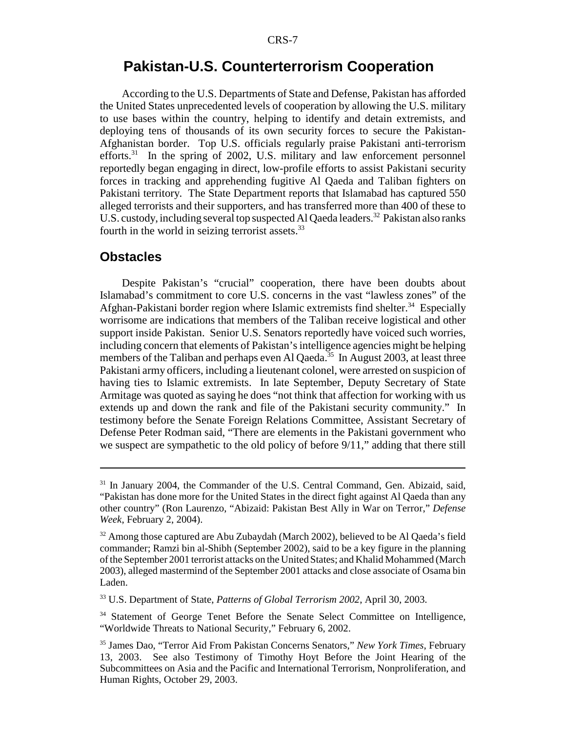# **Pakistan-U.S. Counterterrorism Cooperation**

According to the U.S. Departments of State and Defense, Pakistan has afforded the United States unprecedented levels of cooperation by allowing the U.S. military to use bases within the country, helping to identify and detain extremists, and deploying tens of thousands of its own security forces to secure the Pakistan-Afghanistan border. Top U.S. officials regularly praise Pakistani anti-terrorism efforts. $31$  In the spring of 2002, U.S. military and law enforcement personnel reportedly began engaging in direct, low-profile efforts to assist Pakistani security forces in tracking and apprehending fugitive Al Qaeda and Taliban fighters on Pakistani territory. The State Department reports that Islamabad has captured 550 alleged terrorists and their supporters, and has transferred more than 400 of these to U.S. custody, including several top suspected Al Qaeda leaders.<sup>32</sup> Pakistan also ranks fourth in the world in seizing terrorist assets. $33$ 

#### **Obstacles**

Despite Pakistan's "crucial" cooperation, there have been doubts about Islamabad's commitment to core U.S. concerns in the vast "lawless zones" of the Afghan-Pakistani border region where Islamic extremists find shelter.<sup>34</sup> Especially worrisome are indications that members of the Taliban receive logistical and other support inside Pakistan. Senior U.S. Senators reportedly have voiced such worries, including concern that elements of Pakistan's intelligence agencies might be helping members of the Taliban and perhaps even Al Qaeda.<sup>35</sup> In August 2003, at least three Pakistani army officers, including a lieutenant colonel, were arrested on suspicion of having ties to Islamic extremists. In late September, Deputy Secretary of State Armitage was quoted as saying he does "not think that affection for working with us extends up and down the rank and file of the Pakistani security community." In testimony before the Senate Foreign Relations Committee, Assistant Secretary of Defense Peter Rodman said, "There are elements in the Pakistani government who we suspect are sympathetic to the old policy of before 9/11," adding that there still

<sup>31</sup> In January 2004, the Commander of the U.S. Central Command, Gen. Abizaid, said, "Pakistan has done more for the United States in the direct fight against Al Qaeda than any other country" (Ron Laurenzo, "Abizaid: Pakistan Best Ally in War on Terror," *Defense Week*, February 2, 2004).

 $32$  Among those captured are Abu Zubaydah (March 2002), believed to be Al Qaeda's field commander; Ramzi bin al-Shibh (September 2002), said to be a key figure in the planning of the September 2001 terrorist attacks on the United States; and Khalid Mohammed (March 2003), alleged mastermind of the September 2001 attacks and close associate of Osama bin Laden.

<sup>33</sup> U.S. Department of State, *Patterns of Global Terrorism 2002*, April 30, 2003.

<sup>&</sup>lt;sup>34</sup> Statement of George Tenet Before the Senate Select Committee on Intelligence, "Worldwide Threats to National Security," February 6, 2002.

<sup>35</sup> James Dao, "Terror Aid From Pakistan Concerns Senators," *New York Times*, February 13, 2003. See also Testimony of Timothy Hoyt Before the Joint Hearing of the Subcommittees on Asia and the Pacific and International Terrorism, Nonproliferation, and Human Rights, October 29, 2003.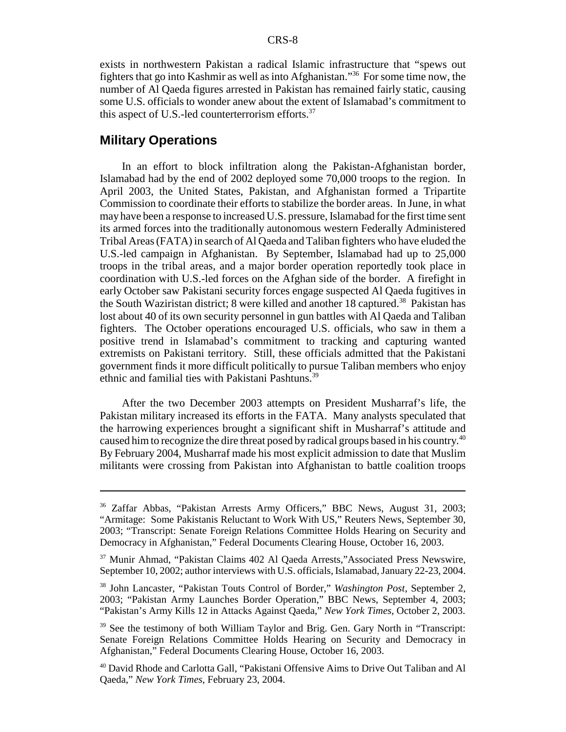exists in northwestern Pakistan a radical Islamic infrastructure that "spews out fighters that go into Kashmir as well as into Afghanistan."36 For some time now, the number of Al Qaeda figures arrested in Pakistan has remained fairly static, causing some U.S. officials to wonder anew about the extent of Islamabad's commitment to this aspect of U.S.-led counterterrorism efforts. $37$ 

#### **Military Operations**

In an effort to block infiltration along the Pakistan-Afghanistan border, Islamabad had by the end of 2002 deployed some 70,000 troops to the region. In April 2003, the United States, Pakistan, and Afghanistan formed a Tripartite Commission to coordinate their efforts to stabilize the border areas. In June, in what may have been a response to increased U.S. pressure, Islamabad for the first time sent its armed forces into the traditionally autonomous western Federally Administered Tribal Areas (FATA) in search of Al Qaeda and Taliban fighters who have eluded the U.S.-led campaign in Afghanistan. By September, Islamabad had up to 25,000 troops in the tribal areas, and a major border operation reportedly took place in coordination with U.S.-led forces on the Afghan side of the border. A firefight in early October saw Pakistani security forces engage suspected Al Qaeda fugitives in the South Waziristan district; 8 were killed and another 18 captured.<sup>38</sup> Pakistan has lost about 40 of its own security personnel in gun battles with Al Qaeda and Taliban fighters. The October operations encouraged U.S. officials, who saw in them a positive trend in Islamabad's commitment to tracking and capturing wanted extremists on Pakistani territory. Still, these officials admitted that the Pakistani government finds it more difficult politically to pursue Taliban members who enjoy ethnic and familial ties with Pakistani Pashtuns.<sup>39</sup>

After the two December 2003 attempts on President Musharraf's life, the Pakistan military increased its efforts in the FATA. Many analysts speculated that the harrowing experiences brought a significant shift in Musharraf's attitude and caused him to recognize the dire threat posed by radical groups based in his country.<sup>40</sup> By February 2004, Musharraf made his most explicit admission to date that Muslim militants were crossing from Pakistan into Afghanistan to battle coalition troops

<sup>&</sup>lt;sup>36</sup> Zaffar Abbas, "Pakistan Arrests Army Officers," BBC News, August 31, 2003; "Armitage: Some Pakistanis Reluctant to Work With US," Reuters News, September 30, 2003; "Transcript: Senate Foreign Relations Committee Holds Hearing on Security and Democracy in Afghanistan," Federal Documents Clearing House, October 16, 2003.

<sup>37</sup> Munir Ahmad, "Pakistan Claims 402 Al Qaeda Arrests,"Associated Press Newswire, September 10, 2002; author interviews with U.S. officials, Islamabad, January 22-23, 2004.

<sup>38</sup> John Lancaster, "Pakistan Touts Control of Border," *Washington Post*, September 2, 2003; "Pakistan Army Launches Border Operation," BBC News, September 4, 2003; "Pakistan's Army Kills 12 in Attacks Against Qaeda," *New York Times*, October 2, 2003.

<sup>&</sup>lt;sup>39</sup> See the testimony of both William Taylor and Brig. Gen. Gary North in "Transcript: Senate Foreign Relations Committee Holds Hearing on Security and Democracy in Afghanistan," Federal Documents Clearing House, October 16, 2003.

<sup>40</sup> David Rhode and Carlotta Gall, "Pakistani Offensive Aims to Drive Out Taliban and Al Qaeda," *New York Times*, February 23, 2004.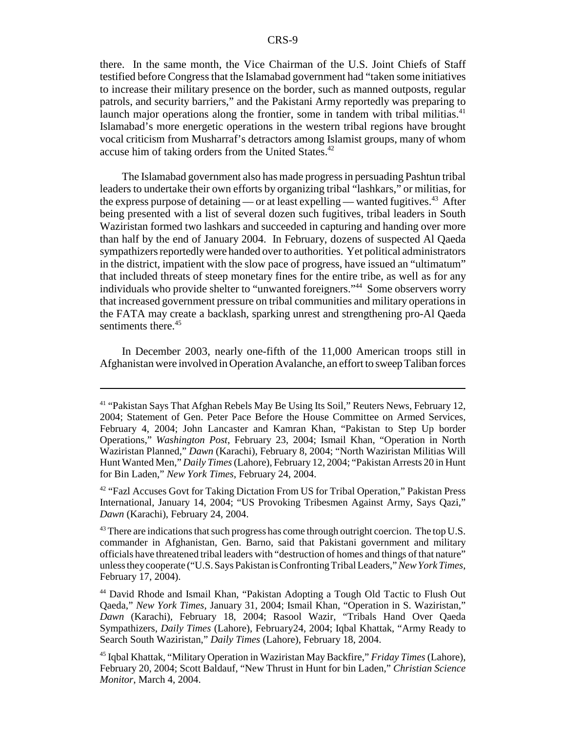there. In the same month, the Vice Chairman of the U.S. Joint Chiefs of Staff testified before Congress that the Islamabad government had "taken some initiatives to increase their military presence on the border, such as manned outposts, regular patrols, and security barriers," and the Pakistani Army reportedly was preparing to launch major operations along the frontier, some in tandem with tribal militias. $41$ Islamabad's more energetic operations in the western tribal regions have brought vocal criticism from Musharraf's detractors among Islamist groups, many of whom accuse him of taking orders from the United States.<sup>42</sup>

The Islamabad government also has made progress in persuading Pashtun tribal leaders to undertake their own efforts by organizing tribal "lashkars," or militias, for the express purpose of detaining — or at least expelling — wanted fugitives.<sup>43</sup> After being presented with a list of several dozen such fugitives, tribal leaders in South Waziristan formed two lashkars and succeeded in capturing and handing over more than half by the end of January 2004. In February, dozens of suspected Al Qaeda sympathizers reportedly were handed over to authorities. Yet political administrators in the district, impatient with the slow pace of progress, have issued an "ultimatum" that included threats of steep monetary fines for the entire tribe, as well as for any individuals who provide shelter to "unwanted foreigners."<sup>44</sup> Some observers worry that increased government pressure on tribal communities and military operations in the FATA may create a backlash, sparking unrest and strengthening pro-Al Qaeda sentiments there.<sup>45</sup>

In December 2003, nearly one-fifth of the 11,000 American troops still in Afghanistan were involved in Operation Avalanche, an effort to sweep Taliban forces

<sup>41 &</sup>quot;Pakistan Says That Afghan Rebels May Be Using Its Soil," Reuters News, February 12, 2004; Statement of Gen. Peter Pace Before the House Committee on Armed Services, February 4, 2004; John Lancaster and Kamran Khan, "Pakistan to Step Up border Operations," *Washington Post*, February 23, 2004; Ismail Khan, "Operation in North Waziristan Planned," *Dawn* (Karachi), February 8, 2004; "North Waziristan Militias Will Hunt Wanted Men," *Daily Times* (Lahore), February 12, 2004; "Pakistan Arrests 20 in Hunt for Bin Laden," *New York Times*, February 24, 2004.

<sup>&</sup>lt;sup>42</sup> "Fazl Accuses Govt for Taking Dictation From US for Tribal Operation," Pakistan Press International, January 14, 2004; "US Provoking Tribesmen Against Army, Says Qazi," *Dawn* (Karachi), February 24, 2004.

 $^{43}$  There are indications that such progress has come through outright coercion. The top U.S. commander in Afghanistan, Gen. Barno, said that Pakistani government and military officials have threatened tribal leaders with "destruction of homes and things of that nature" unless they cooperate ("U.S. Says Pakistan is Confronting Tribal Leaders," *New York Times*, February 17, 2004).

<sup>44</sup> David Rhode and Ismail Khan, "Pakistan Adopting a Tough Old Tactic to Flush Out Qaeda," *New York Times*, January 31, 2004; Ismail Khan, "Operation in S. Waziristan," *Dawn* (Karachi), February 18, 2004; Rasool Wazir, "Tribals Hand Over Qaeda Sympathizers, *Daily Times* (Lahore), February24, 2004; Iqbal Khattak, "Army Ready to Search South Waziristan," *Daily Times* (Lahore), February 18, 2004.

<sup>45</sup> Iqbal Khattak, "Military Operation in Waziristan May Backfire," *Friday Times* (Lahore), February 20, 2004; Scott Baldauf, "New Thrust in Hunt for bin Laden," *Christian Science Monitor*, March 4, 2004.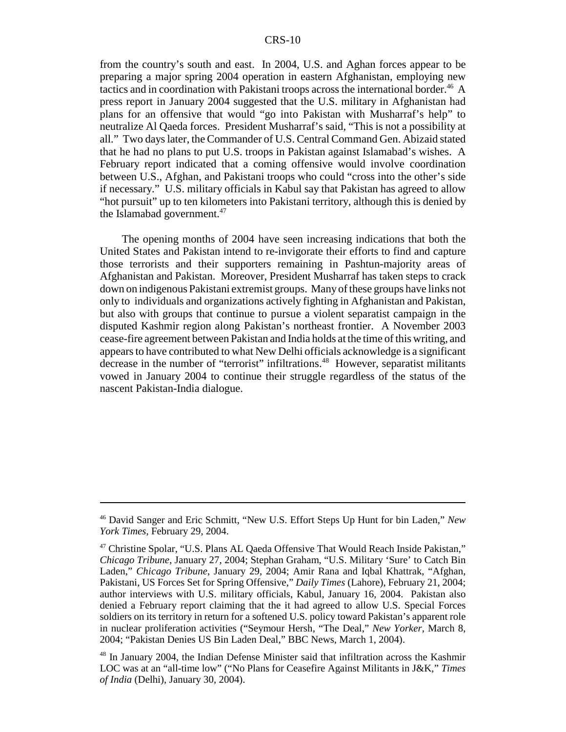from the country's south and east. In 2004, U.S. and Aghan forces appear to be preparing a major spring 2004 operation in eastern Afghanistan, employing new tactics and in coordination with Pakistani troops across the international border.<sup>46</sup> A press report in January 2004 suggested that the U.S. military in Afghanistan had plans for an offensive that would "go into Pakistan with Musharraf's help" to neutralize Al Qaeda forces. President Musharraf's said, "This is not a possibility at all." Two days later, the Commander of U.S. Central Command Gen. Abizaid stated that he had no plans to put U.S. troops in Pakistan against Islamabad's wishes. A February report indicated that a coming offensive would involve coordination between U.S., Afghan, and Pakistani troops who could "cross into the other's side if necessary." U.S. military officials in Kabul say that Pakistan has agreed to allow "hot pursuit" up to ten kilometers into Pakistani territory, although this is denied by the Islamabad government.<sup>47</sup>

The opening months of 2004 have seen increasing indications that both the United States and Pakistan intend to re-invigorate their efforts to find and capture those terrorists and their supporters remaining in Pashtun-majority areas of Afghanistan and Pakistan. Moreover, President Musharraf has taken steps to crack down on indigenous Pakistani extremist groups. Many of these groups have links not only to individuals and organizations actively fighting in Afghanistan and Pakistan, but also with groups that continue to pursue a violent separatist campaign in the disputed Kashmir region along Pakistan's northeast frontier. A November 2003 cease-fire agreement between Pakistan and India holds at the time of this writing, and appears to have contributed to what New Delhi officials acknowledge is a significant decrease in the number of "terrorist" infiltrations.<sup>48</sup> However, separatist militants vowed in January 2004 to continue their struggle regardless of the status of the nascent Pakistan-India dialogue.

<sup>46</sup> David Sanger and Eric Schmitt, "New U.S. Effort Steps Up Hunt for bin Laden," *New York Times*, February 29, 2004.

<sup>47</sup> Christine Spolar, "U.S. Plans AL Qaeda Offensive That Would Reach Inside Pakistan," *Chicago Tribune*, January 27, 2004; Stephan Graham, "U.S. Military 'Sure' to Catch Bin Laden," *Chicago Tribune*, January 29, 2004; Amir Rana and Iqbal Khattrak, "Afghan, Pakistani, US Forces Set for Spring Offensive," *Daily Times* (Lahore), February 21, 2004; author interviews with U.S. military officials, Kabul, January 16, 2004. Pakistan also denied a February report claiming that the it had agreed to allow U.S. Special Forces soldiers on its territory in return for a softened U.S. policy toward Pakistan's apparent role in nuclear proliferation activities ("Seymour Hersh, "The Deal," *New Yorker*, March 8, 2004; "Pakistan Denies US Bin Laden Deal," BBC News, March 1, 2004).

<sup>48</sup> In January 2004, the Indian Defense Minister said that infiltration across the Kashmir LOC was at an "all-time low" ("No Plans for Ceasefire Against Militants in J&K," *Times of India* (Delhi), January 30, 2004).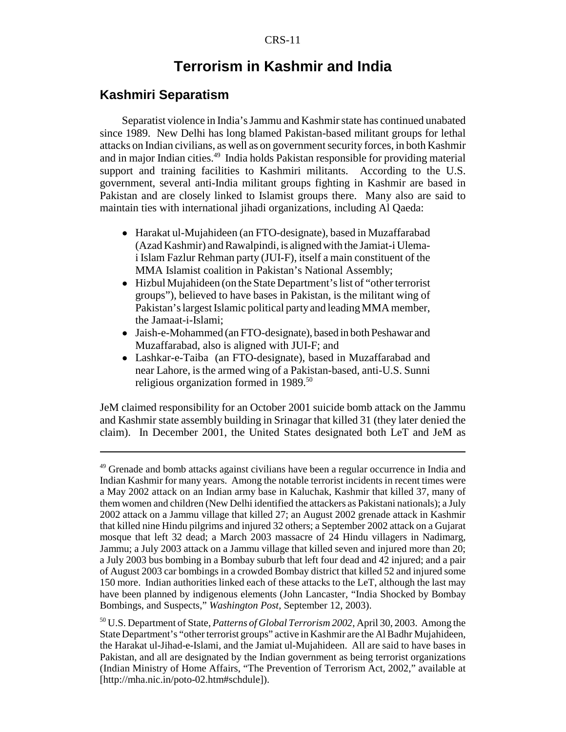# **Terrorism in Kashmir and India**

#### **Kashmiri Separatism**

Separatist violence in India's Jammu and Kashmir state has continued unabated since 1989. New Delhi has long blamed Pakistan-based militant groups for lethal attacks on Indian civilians, as well as on government security forces, in both Kashmir and in major Indian cities.<sup>49</sup> India holds Pakistan responsible for providing material support and training facilities to Kashmiri militants. According to the U.S. government, several anti-India militant groups fighting in Kashmir are based in Pakistan and are closely linked to Islamist groups there. Many also are said to maintain ties with international jihadi organizations, including Al Qaeda:

- ! Harakat ul-Mujahideen (an FTO-designate), based in Muzaffarabad (Azad Kashmir) and Rawalpindi, is aligned with the Jamiat-i Ulemai Islam Fazlur Rehman party (JUI-F), itself a main constituent of the MMA Islamist coalition in Pakistan's National Assembly;
- ! Hizbul Mujahideen (on the State Department's list of "other terrorist groups"), believed to have bases in Pakistan, is the militant wing of Pakistan's largest Islamic political party and leading MMA member, the Jamaat-i-Islami;
- Jaish-e-Mohammed (an FTO-designate), based in both Peshawar and Muzaffarabad, also is aligned with JUI-F; and
- Lashkar-e-Taiba (an FTO-designate), based in Muzaffarabad and near Lahore, is the armed wing of a Pakistan-based, anti-U.S. Sunni religious organization formed in 1989.<sup>50</sup>

JeM claimed responsibility for an October 2001 suicide bomb attack on the Jammu and Kashmir state assembly building in Srinagar that killed 31 (they later denied the claim). In December 2001, the United States designated both LeT and JeM as

<sup>&</sup>lt;sup>49</sup> Grenade and bomb attacks against civilians have been a regular occurrence in India and Indian Kashmir for many years. Among the notable terrorist incidents in recent times were a May 2002 attack on an Indian army base in Kaluchak, Kashmir that killed 37, many of them women and children (New Delhi identified the attackers as Pakistani nationals); a July 2002 attack on a Jammu village that killed 27; an August 2002 grenade attack in Kashmir that killed nine Hindu pilgrims and injured 32 others; a September 2002 attack on a Gujarat mosque that left 32 dead; a March 2003 massacre of 24 Hindu villagers in Nadimarg, Jammu; a July 2003 attack on a Jammu village that killed seven and injured more than 20; a July 2003 bus bombing in a Bombay suburb that left four dead and 42 injured; and a pair of August 2003 car bombings in a crowded Bombay district that killed 52 and injured some 150 more. Indian authorities linked each of these attacks to the LeT, although the last may have been planned by indigenous elements (John Lancaster, "India Shocked by Bombay Bombings, and Suspects," *Washington Post*, September 12, 2003).

<sup>50</sup> U.S. Department of State, *Patterns of Global Terrorism 2002*, April 30, 2003. Among the State Department's "other terrorist groups" active in Kashmir are the Al Badhr Mujahideen, the Harakat ul-Jihad-e-Islami, and the Jamiat ul-Mujahideen. All are said to have bases in Pakistan, and all are designated by the Indian government as being terrorist organizations (Indian Ministry of Home Affairs, "The Prevention of Terrorism Act, 2002," available at [http://mha.nic.in/poto-02.htm#schdule]).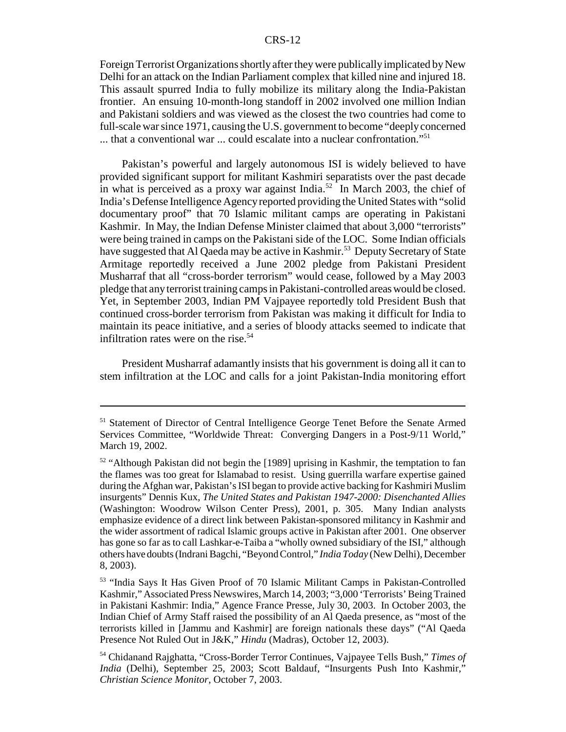Foreign Terrorist Organizations shortly after they were publically implicated by New Delhi for an attack on the Indian Parliament complex that killed nine and injured 18. This assault spurred India to fully mobilize its military along the India-Pakistan frontier. An ensuing 10-month-long standoff in 2002 involved one million Indian and Pakistani soldiers and was viewed as the closest the two countries had come to full-scale war since 1971, causing the U.S. government to become "deeply concerned  $\dots$  that a conventional war  $\dots$  could escalate into a nuclear confrontation."<sup>51</sup>

Pakistan's powerful and largely autonomous ISI is widely believed to have provided significant support for militant Kashmiri separatists over the past decade in what is perceived as a proxy war against India.<sup>52</sup> In March 2003, the chief of India's Defense Intelligence Agency reported providing the United States with "solid documentary proof" that 70 Islamic militant camps are operating in Pakistani Kashmir. In May, the Indian Defense Minister claimed that about 3,000 "terrorists" were being trained in camps on the Pakistani side of the LOC. Some Indian officials have suggested that Al Qaeda may be active in Kashmir.<sup>53</sup> Deputy Secretary of State Armitage reportedly received a June 2002 pledge from Pakistani President Musharraf that all "cross-border terrorism" would cease, followed by a May 2003 pledge that any terrorist training camps in Pakistani-controlled areas would be closed. Yet, in September 2003, Indian PM Vajpayee reportedly told President Bush that continued cross-border terrorism from Pakistan was making it difficult for India to maintain its peace initiative, and a series of bloody attacks seemed to indicate that infiltration rates were on the rise. $54$ 

President Musharraf adamantly insists that his government is doing all it can to stem infiltration at the LOC and calls for a joint Pakistan-India monitoring effort

<sup>&</sup>lt;sup>51</sup> Statement of Director of Central Intelligence George Tenet Before the Senate Armed Services Committee, "Worldwide Threat: Converging Dangers in a Post-9/11 World," March 19, 2002.

<sup>&</sup>lt;sup>52</sup> "Although Pakistan did not begin the [1989] uprising in Kashmir, the temptation to fan the flames was too great for Islamabad to resist. Using guerrilla warfare expertise gained during the Afghan war, Pakistan's ISI began to provide active backing for Kashmiri Muslim insurgents" Dennis Kux, *The United States and Pakistan 1947-2000: Disenchanted Allies* (Washington: Woodrow Wilson Center Press), 2001, p. 305. Many Indian analysts emphasize evidence of a direct link between Pakistan-sponsored militancy in Kashmir and the wider assortment of radical Islamic groups active in Pakistan after 2001. One observer has gone so far as to call Lashkar-e-Taiba a "wholly owned subsidiary of the ISI," although others have doubts (Indrani Bagchi, "Beyond Control," *India Today* (New Delhi), December 8, 2003).

<sup>53 &</sup>quot;India Says It Has Given Proof of 70 Islamic Militant Camps in Pakistan-Controlled Kashmir," Associated Press Newswires, March 14, 2003; "3,000 'Terrorists' Being Trained in Pakistani Kashmir: India," Agence France Presse, July 30, 2003. In October 2003, the Indian Chief of Army Staff raised the possibility of an Al Qaeda presence, as "most of the terrorists killed in [Jammu and Kashmir] are foreign nationals these days" ("Al Qaeda Presence Not Ruled Out in J&K," *Hindu* (Madras), October 12, 2003).

<sup>54</sup> Chidanand Rajghatta, "Cross-Border Terror Continues, Vajpayee Tells Bush," *Times of India* (Delhi), September 25, 2003; Scott Baldauf, "Insurgents Push Into Kashmir," *Christian Science Monitor*, October 7, 2003.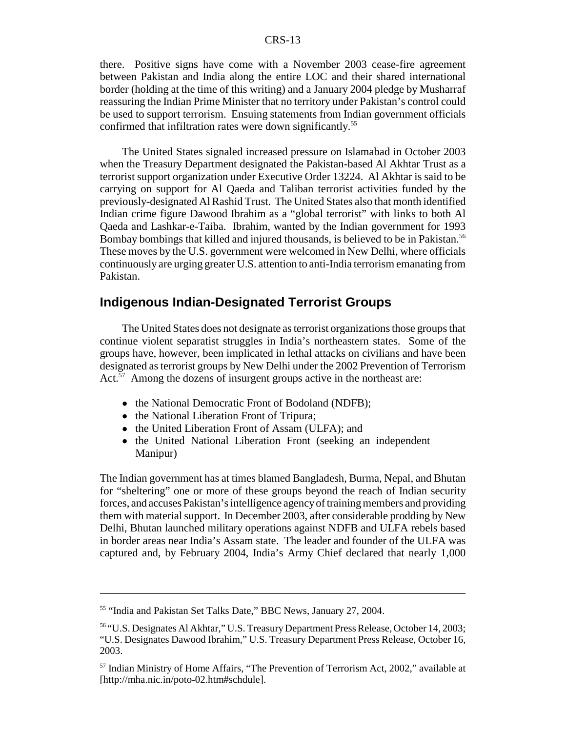there. Positive signs have come with a November 2003 cease-fire agreement between Pakistan and India along the entire LOC and their shared international border (holding at the time of this writing) and a January 2004 pledge by Musharraf reassuring the Indian Prime Minister that no territory under Pakistan's control could be used to support terrorism. Ensuing statements from Indian government officials confirmed that infiltration rates were down significantly.<sup>55</sup>

The United States signaled increased pressure on Islamabad in October 2003 when the Treasury Department designated the Pakistan-based Al Akhtar Trust as a terrorist support organization under Executive Order 13224. Al Akhtar is said to be carrying on support for Al Qaeda and Taliban terrorist activities funded by the previously-designated Al Rashid Trust. The United States also that month identified Indian crime figure Dawood Ibrahim as a "global terrorist" with links to both Al Qaeda and Lashkar-e-Taiba. Ibrahim, wanted by the Indian government for 1993 Bombay bombings that killed and injured thousands, is believed to be in Pakistan.<sup>56</sup> These moves by the U.S. government were welcomed in New Delhi, where officials continuously are urging greater U.S. attention to anti-India terrorism emanating from Pakistan.

### **Indigenous Indian-Designated Terrorist Groups**

The United States does not designate as terrorist organizations those groups that continue violent separatist struggles in India's northeastern states. Some of the groups have, however, been implicated in lethal attacks on civilians and have been designated as terrorist groups by New Delhi under the 2002 Prevention of Terrorism Act. $57$  Among the dozens of insurgent groups active in the northeast are:

- the National Democratic Front of Bodoland (NDFB);
- the National Liberation Front of Tripura;
- the United Liberation Front of Assam (ULFA); and
- the United National Liberation Front (seeking an independent Manipur)

The Indian government has at times blamed Bangladesh, Burma, Nepal, and Bhutan for "sheltering" one or more of these groups beyond the reach of Indian security forces, and accuses Pakistan's intelligence agency of training members and providing them with material support. In December 2003, after considerable prodding by New Delhi, Bhutan launched military operations against NDFB and ULFA rebels based in border areas near India's Assam state. The leader and founder of the ULFA was captured and, by February 2004, India's Army Chief declared that nearly 1,000

<sup>55 &</sup>quot;India and Pakistan Set Talks Date," BBC News, January 27, 2004.

<sup>56 &</sup>quot;U.S. Designates Al Akhtar," U.S. Treasury Department Press Release, October 14, 2003; "U.S. Designates Dawood Ibrahim," U.S. Treasury Department Press Release, October 16, 2003.

<sup>57</sup> Indian Ministry of Home Affairs, "The Prevention of Terrorism Act, 2002," available at [http://mha.nic.in/poto-02.htm#schdule].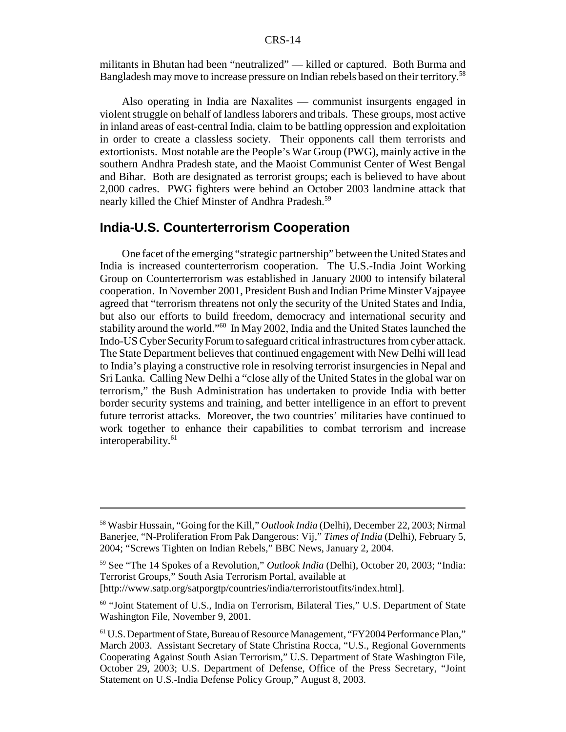militants in Bhutan had been "neutralized" — killed or captured. Both Burma and Bangladesh may move to increase pressure on Indian rebels based on their territory.58

Also operating in India are Naxalites — communist insurgents engaged in violent struggle on behalf of landless laborers and tribals. These groups, most active in inland areas of east-central India, claim to be battling oppression and exploitation in order to create a classless society. Their opponents call them terrorists and extortionists. Most notable are the People's War Group (PWG), mainly active in the southern Andhra Pradesh state, and the Maoist Communist Center of West Bengal and Bihar. Both are designated as terrorist groups; each is believed to have about 2,000 cadres. PWG fighters were behind an October 2003 landmine attack that nearly killed the Chief Minster of Andhra Pradesh.<sup>59</sup>

#### **India-U.S. Counterterrorism Cooperation**

One facet of the emerging "strategic partnership" between the United States and India is increased counterterrorism cooperation. The U.S.-India Joint Working Group on Counterterrorism was established in January 2000 to intensify bilateral cooperation. In November 2001, President Bush and Indian Prime Minster Vajpayee agreed that "terrorism threatens not only the security of the United States and India, but also our efforts to build freedom, democracy and international security and stability around the world."60 In May 2002, India and the United States launched the Indo-US Cyber Security Forum to safeguard critical infrastructures from cyber attack. The State Department believes that continued engagement with New Delhi will lead to India's playing a constructive role in resolving terrorist insurgencies in Nepal and Sri Lanka. Calling New Delhi a "close ally of the United States in the global war on terrorism," the Bush Administration has undertaken to provide India with better border security systems and training, and better intelligence in an effort to prevent future terrorist attacks. Moreover, the two countries' militaries have continued to work together to enhance their capabilities to combat terrorism and increase interoperability.<sup>61</sup>

<sup>58</sup> Wasbir Hussain, "Going for the Kill," *Outlook India* (Delhi), December 22, 2003; Nirmal Banerjee, "N-Proliferation From Pak Dangerous: Vij," *Times of India* (Delhi), February 5, 2004; "Screws Tighten on Indian Rebels," BBC News, January 2, 2004.

<sup>59</sup> See "The 14 Spokes of a Revolution," *Outlook India* (Delhi), October 20, 2003; "India: Terrorist Groups," South Asia Terrorism Portal, available at [http://www.satp.org/satporgtp/countries/india/terroristoutfits/index.html].

<sup>60 &</sup>quot;Joint Statement of U.S., India on Terrorism, Bilateral Ties," U.S. Department of State Washington File, November 9, 2001.

<sup>61</sup> U.S. Department of State, Bureau of Resource Management, "FY2004 Performance Plan," March 2003. Assistant Secretary of State Christina Rocca, "U.S., Regional Governments Cooperating Against South Asian Terrorism," U.S. Department of State Washington File, October 29, 2003; U.S. Department of Defense, Office of the Press Secretary, "Joint Statement on U.S.-India Defense Policy Group," August 8, 2003.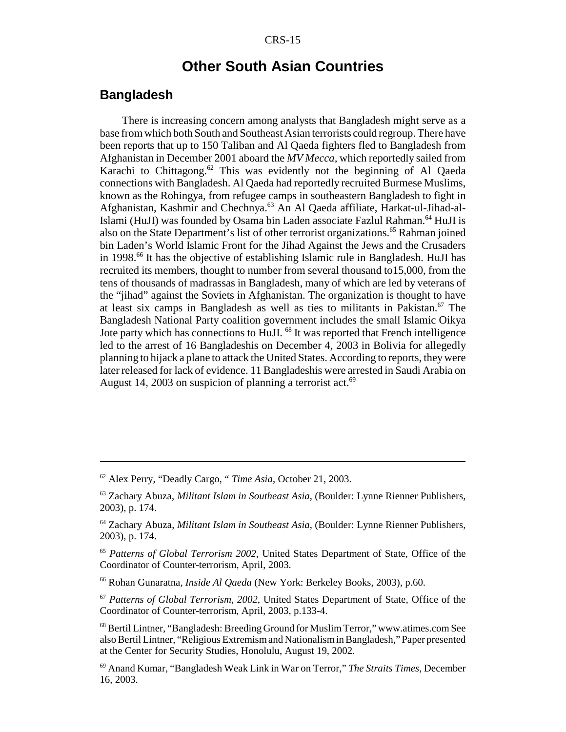## **Other South Asian Countries**

#### **Bangladesh**

There is increasing concern among analysts that Bangladesh might serve as a base from which both South and Southeast Asian terrorists could regroup. There have been reports that up to 150 Taliban and Al Qaeda fighters fled to Bangladesh from Afghanistan in December 2001 aboard the *MV Mecca,* which reportedly sailed from Karachi to Chittagong.<sup>62</sup> This was evidently not the beginning of Al Qaeda connections with Bangladesh. Al Qaeda had reportedly recruited Burmese Muslims, known as the Rohingya, from refugee camps in southeastern Bangladesh to fight in Afghanistan, Kashmir and Chechnya.63 An Al Qaeda affiliate, Harkat-ul-Jihad-al-Islami (HuJI) was founded by Osama bin Laden associate Fazlul Rahman.<sup>64</sup> HuJI is also on the State Department's list of other terrorist organizations.65 Rahman joined bin Laden's World Islamic Front for the Jihad Against the Jews and the Crusaders in 1998.<sup>66</sup> It has the objective of establishing Islamic rule in Bangladesh. HuJI has recruited its members, thought to number from several thousand to15,000, from the tens of thousands of madrassas in Bangladesh, many of which are led by veterans of the "jihad" against the Soviets in Afghanistan. The organization is thought to have at least six camps in Bangladesh as well as ties to militants in Pakistan.<sup>67</sup> The Bangladesh National Party coalition government includes the small Islamic Oikya Jote party which has connections to HuJI.<sup>68</sup> It was reported that French intelligence led to the arrest of 16 Bangladeshis on December 4, 2003 in Bolivia for allegedly planning to hijack a plane to attack the United States. According to reports, they were later released for lack of evidence. 11 Bangladeshis were arrested in Saudi Arabia on August 14, 2003 on suspicion of planning a terrorist act.<sup>69</sup>

<sup>62</sup> Alex Perry, "Deadly Cargo, " *Time Asia*, October 21, 2003.

<sup>63</sup> Zachary Abuza, *Militant Islam in Southeast Asia*, (Boulder: Lynne Rienner Publishers, 2003), p. 174.

<sup>64</sup> Zachary Abuza, *Militant Islam in Southeast Asia*, (Boulder: Lynne Rienner Publishers, 2003), p. 174.

<sup>65</sup> *Patterns of Global Terrorism 2002*, United States Department of State, Office of the Coordinator of Counter-terrorism, April, 2003.

<sup>66</sup> Rohan Gunaratna, *Inside Al Qaeda* (New York: Berkeley Books, 2003), p.60.

<sup>67</sup> *Patterns of Global Terrorism, 2002*, United States Department of State, Office of the Coordinator of Counter-terrorism, April, 2003, p.133-4.

<sup>68</sup> Bertil Lintner, "Bangladesh: Breeding Ground for Muslim Terror," www.atimes.com See also Bertil Lintner, "Religious Extremism and Nationalism in Bangladesh," Paper presented at the Center for Security Studies, Honolulu, August 19, 2002.

<sup>69</sup> Anand Kumar, "Bangladesh Weak Link in War on Terror," *The Straits Times*, December 16, 2003.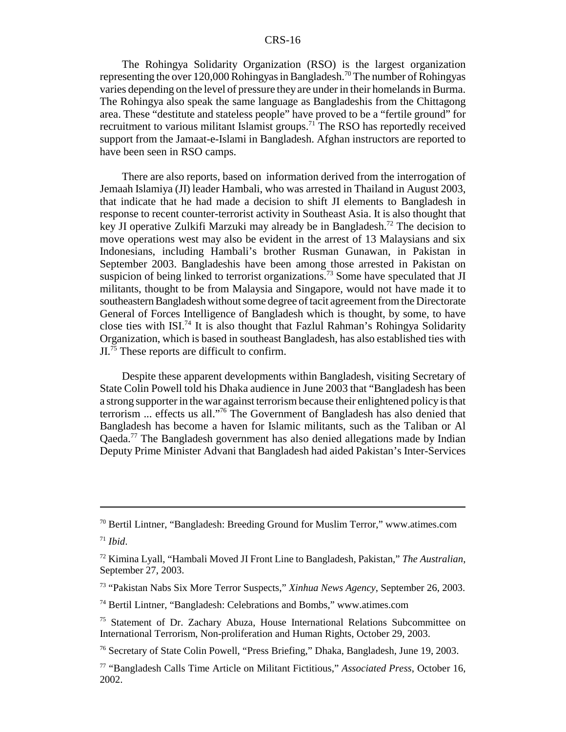The Rohingya Solidarity Organization (RSO) is the largest organization representing the over 120,000 Rohingyas in Bangladesh.<sup>70</sup> The number of Rohingyas varies depending on the level of pressure they are under in their homelands in Burma. The Rohingya also speak the same language as Bangladeshis from the Chittagong area. These "destitute and stateless people" have proved to be a "fertile ground" for recruitment to various militant Islamist groups.71 The RSO has reportedly received support from the Jamaat-e-Islami in Bangladesh. Afghan instructors are reported to have been seen in RSO camps.

There are also reports, based on information derived from the interrogation of Jemaah Islamiya (JI) leader Hambali, who was arrested in Thailand in August 2003, that indicate that he had made a decision to shift JI elements to Bangladesh in response to recent counter-terrorist activity in Southeast Asia. It is also thought that key JI operative Zulkifi Marzuki may already be in Bangladesh.<sup>72</sup> The decision to move operations west may also be evident in the arrest of 13 Malaysians and six Indonesians, including Hambali's brother Rusman Gunawan, in Pakistan in September 2003. Bangladeshis have been among those arrested in Pakistan on suspicion of being linked to terrorist organizations.<sup>73</sup> Some have speculated that JI militants, thought to be from Malaysia and Singapore, would not have made it to southeastern Bangladesh without some degree of tacit agreement from the Directorate General of Forces Intelligence of Bangladesh which is thought, by some, to have close ties with ISI.<sup>74</sup> It is also thought that Fazlul Rahman's Rohingya Solidarity Organization, which is based in southeast Bangladesh, has also established ties with  $JI<sup>75</sup>$ . These reports are difficult to confirm.

Despite these apparent developments within Bangladesh, visiting Secretary of State Colin Powell told his Dhaka audience in June 2003 that "Bangladesh has been a strong supporter in the war against terrorism because their enlightened policy is that terrorism ... effects us all."76 The Government of Bangladesh has also denied that Bangladesh has become a haven for Islamic militants, such as the Taliban or Al Qaeda.77 The Bangladesh government has also denied allegations made by Indian Deputy Prime Minister Advani that Bangladesh had aided Pakistan's Inter-Services

 $70$  Bertil Lintner, "Bangladesh: Breeding Ground for Muslim Terror," www.atimes.com

 $71$  *Ibid*.

<sup>72</sup> Kimina Lyall, "Hambali Moved JI Front Line to Bangladesh, Pakistan," *The Australian*, September 27, 2003.

<sup>73 &</sup>quot;Pakistan Nabs Six More Terror Suspects," *Xinhua News Agency*, September 26, 2003.

<sup>74</sup> Bertil Lintner, "Bangladesh: Celebrations and Bombs," www.atimes.com

<sup>75</sup> Statement of Dr. Zachary Abuza, House International Relations Subcommittee on International Terrorism, Non-proliferation and Human Rights, October 29, 2003.

<sup>76</sup> Secretary of State Colin Powell, "Press Briefing," Dhaka, Bangladesh, June 19, 2003.

<sup>77 &</sup>quot;Bangladesh Calls Time Article on Militant Fictitious," *Associated Press*, October 16, 2002.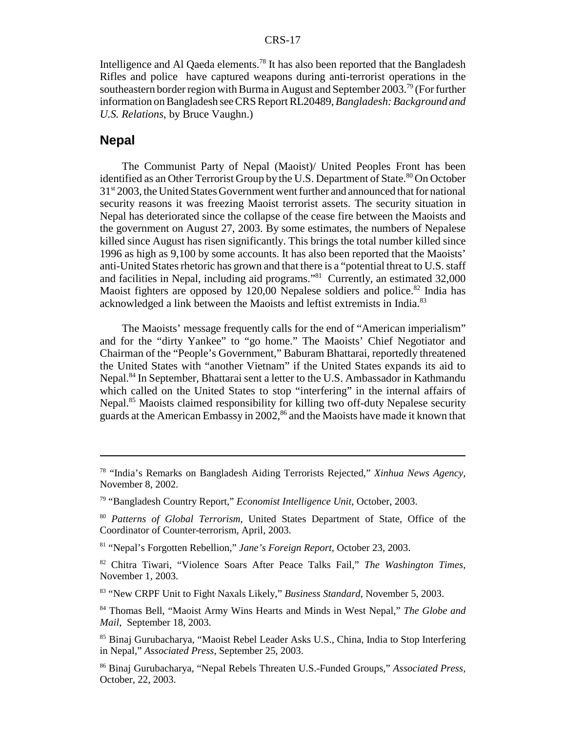Intelligence and Al Qaeda elements.<sup>78</sup> It has also been reported that the Bangladesh Rifles and police have captured weapons during anti-terrorist operations in the southeastern border region with Burma in August and September 2003.79 (For further information on Bangladesh see CRS Report RL20489, *Bangladesh: Background and U.S. Relations*, by Bruce Vaughn.)

#### **Nepal**

The Communist Party of Nepal (Maoist)/ United Peoples Front has been identified as an Other Terrorist Group by the U.S. Department of State.<sup>80</sup> On October 31<sup>st</sup> 2003, the United States Government went further and announced that for national security reasons it was freezing Maoist terrorist assets. The security situation in Nepal has deteriorated since the collapse of the cease fire between the Maoists and the government on August 27, 2003. By some estimates, the numbers of Nepalese killed since August has risen significantly. This brings the total number killed since 1996 as high as 9,100 by some accounts. It has also been reported that the Maoists' anti-United States rhetoric has grown and that there is a "potential threat to U.S. staff and facilities in Nepal, including aid programs."81 Currently, an estimated 32,000 Maoist fighters are opposed by  $120,00$  Nepalese soldiers and police.<sup>82</sup> India has acknowledged a link between the Maoists and leftist extremists in India.<sup>83</sup>

The Maoists' message frequently calls for the end of "American imperialism" and for the "dirty Yankee" to "go home." The Maoists' Chief Negotiator and Chairman of the "People's Government," Baburam Bhattarai, reportedly threatened the United States with "another Vietnam" if the United States expands its aid to Nepal.<sup>84</sup> In September, Bhattarai sent a letter to the U.S. Ambassador in Kathmandu which called on the United States to stop "interfering" in the internal affairs of Nepal.<sup>85</sup> Maoists claimed responsibility for killing two off-duty Nepalese security guards at the American Embassy in 2002,<sup>86</sup> and the Maoists have made it known that

<sup>78 &</sup>quot;India's Remarks on Bangladesh Aiding Terrorists Rejected," *Xinhua News Agency*, November 8, 2002.

<sup>79 &</sup>quot;Bangladesh Country Report," *Economist Intelligence Unit*, October, 2003.

<sup>80</sup> *Patterns of Global Terrorism*, United States Department of State, Office of the Coordinator of Counter-terrorism, April, 2003.

<sup>81 &</sup>quot;Nepal's Forgotten Rebellion," *Jane's Foreign Report*, October 23, 2003.

<sup>82</sup> Chitra Tiwari, "Violence Soars After Peace Talks Fail," *The Washington Times*, November 1, 2003.

<sup>83 &</sup>quot;New CRPF Unit to Fight Naxals Likely," *Business Standard*, November 5, 2003.

<sup>84</sup> Thomas Bell, "Maoist Army Wins Hearts and Minds in West Nepal," *The Globe and Mail*, September 18, 2003.

<sup>85</sup> Binaj Gurubacharya, "Maoist Rebel Leader Asks U.S., China, India to Stop Interfering in Nepal," *Associated Press*, September 25, 2003.

<sup>86</sup> Binaj Gurubacharya, "Nepal Rebels Threaten U.S.-Funded Groups," *Associated Press*, October, 22, 2003.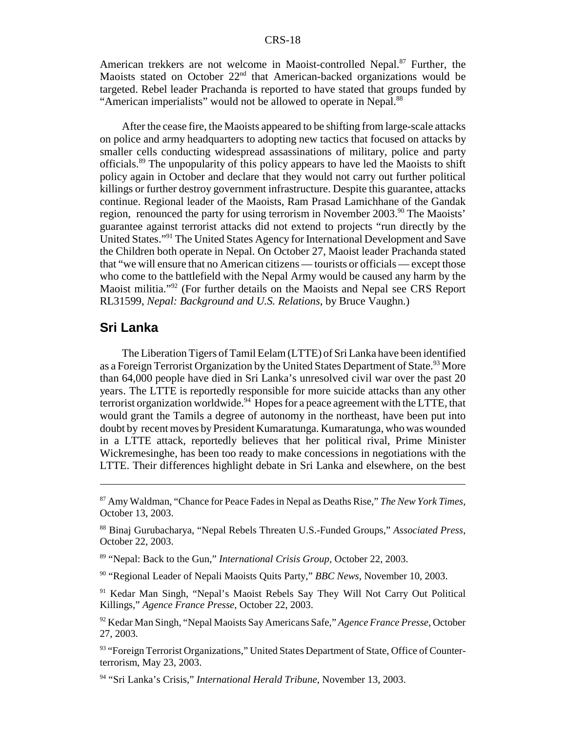American trekkers are not welcome in Maoist-controlled Nepal.<sup>87</sup> Further, the Maoists stated on October 22<sup>nd</sup> that American-backed organizations would be targeted. Rebel leader Prachanda is reported to have stated that groups funded by "American imperialists" would not be allowed to operate in Nepal.<sup>88</sup>

After the cease fire, the Maoists appeared to be shifting from large-scale attacks on police and army headquarters to adopting new tactics that focused on attacks by smaller cells conducting widespread assassinations of military, police and party officials.89 The unpopularity of this policy appears to have led the Maoists to shift policy again in October and declare that they would not carry out further political killings or further destroy government infrastructure. Despite this guarantee, attacks continue. Regional leader of the Maoists, Ram Prasad Lamichhane of the Gandak region, renounced the party for using terrorism in November 2003.<sup>90</sup> The Maoists' guarantee against terrorist attacks did not extend to projects "run directly by the United States."91 The United States Agency for International Development and Save the Children both operate in Nepal. On October 27, Maoist leader Prachanda stated that "we will ensure that no American citizens — tourists or officials — except those who come to the battlefield with the Nepal Army would be caused any harm by the Maoist militia."<sup>92</sup> (For further details on the Maoists and Nepal see CRS Report RL31599, *Nepal: Background and U.S. Relations*, by Bruce Vaughn.)

#### **Sri Lanka**

The Liberation Tigers of Tamil Eelam (LTTE) of Sri Lanka have been identified as a Foreign Terrorist Organization by the United States Department of State.<sup>93</sup> More than 64,000 people have died in Sri Lanka's unresolved civil war over the past 20 years. The LTTE is reportedly responsible for more suicide attacks than any other terrorist organization worldwide.<sup>94</sup> Hopes for a peace agreement with the LTTE, that would grant the Tamils a degree of autonomy in the northeast, have been put into doubt by recent moves by President Kumaratunga. Kumaratunga, who was wounded in a LTTE attack, reportedly believes that her political rival, Prime Minister Wickremesinghe, has been too ready to make concessions in negotiations with the LTTE. Their differences highlight debate in Sri Lanka and elsewhere, on the best

90 "Regional Leader of Nepali Maoists Quits Party," *BBC News*, November 10, 2003.

<sup>91</sup> Kedar Man Singh, "Nepal's Maoist Rebels Say They Will Not Carry Out Political Killings," *Agence France Presse*, October 22, 2003.

92 Kedar Man Singh, "Nepal Maoists Say Americans Safe," *Agence France Presse*, October 27, 2003.

<sup>93</sup> "Foreign Terrorist Organizations," United States Department of State, Office of Counterterrorism, May 23, 2003.

94 "Sri Lanka's Crisis," *International Herald Tribune*, November 13, 2003.

<sup>87</sup> Amy Waldman, "Chance for Peace Fades in Nepal as Deaths Rise," *The New York Times*, October 13, 2003.

<sup>88</sup> Binaj Gurubacharya, "Nepal Rebels Threaten U.S.-Funded Groups," *Associated Press*, October 22, 2003.

<sup>89 &</sup>quot;Nepal: Back to the Gun," *International Crisis Group,* October 22, 2003.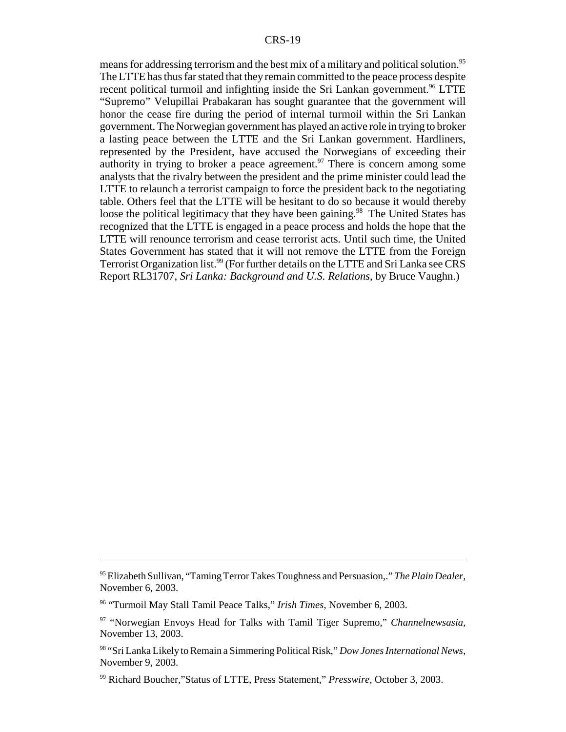means for addressing terrorism and the best mix of a military and political solution.<sup>95</sup> The LTTE has thus far stated that they remain committed to the peace process despite recent political turmoil and infighting inside the Sri Lankan government.<sup>96</sup> LTTE "Supremo" Velupillai Prabakaran has sought guarantee that the government will honor the cease fire during the period of internal turmoil within the Sri Lankan government. The Norwegian government has played an active role in trying to broker a lasting peace between the LTTE and the Sri Lankan government. Hardliners, represented by the President, have accused the Norwegians of exceeding their authority in trying to broker a peace agreement.<sup>97</sup> There is concern among some analysts that the rivalry between the president and the prime minister could lead the LTTE to relaunch a terrorist campaign to force the president back to the negotiating table. Others feel that the LTTE will be hesitant to do so because it would thereby loose the political legitimacy that they have been gaining.<sup>98</sup> The United States has recognized that the LTTE is engaged in a peace process and holds the hope that the LTTE will renounce terrorism and cease terrorist acts. Until such time, the United States Government has stated that it will not remove the LTTE from the Foreign Terrorist Organization list.<sup>99</sup> (For further details on the LTTE and Sri Lanka see CRS Report RL31707, *Sri Lanka: Background and U.S. Relations*, by Bruce Vaughn.)

<sup>95</sup> Elizabeth Sullivan, "Taming Terror Takes Toughness and Persuasion,." *The Plain Dealer*, November 6, 2003.

<sup>96 &</sup>quot;Turmoil May Stall Tamil Peace Talks," *Irish Times*, November 6, 2003.

<sup>97 &</sup>quot;Norwegian Envoys Head for Talks with Tamil Tiger Supremo," *Channelnewsasia*, November 13, 2003.

<sup>98 &</sup>quot;Sri Lanka Likely to Remain a Simmering Political Risk," *Dow Jones International News*, November 9, 2003.

<sup>99</sup> Richard Boucher,"Status of LTTE, Press Statement," *Presswire*, October 3, 2003.